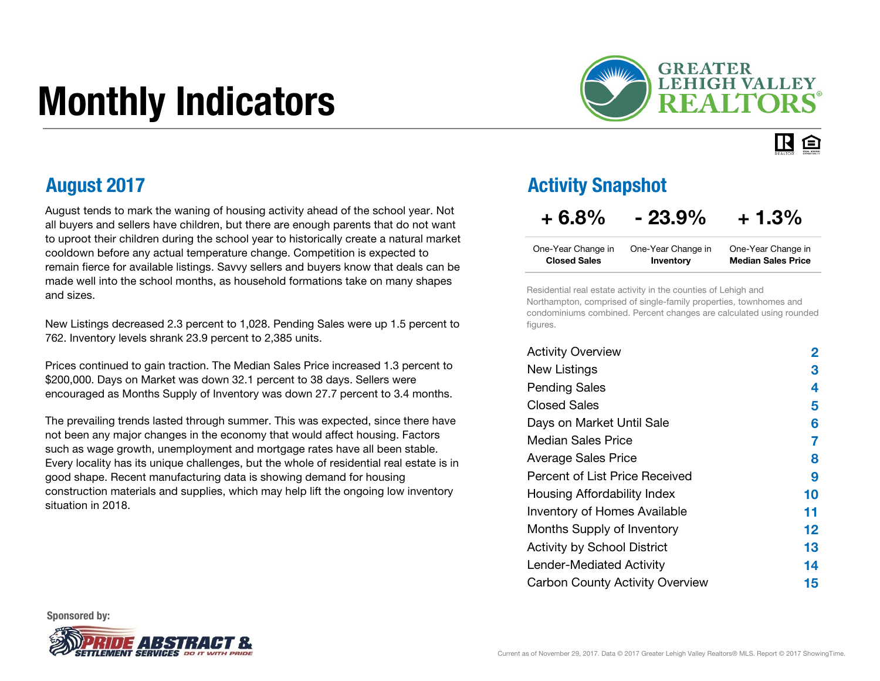# Monthly Indicators



#### IR. 臼

August tends to mark the waning of housing activity ahead of the school year. Not all buyers and sellers have children, but there are enough parents that do not want to uproot their children during the school year to historically create a natural market cooldown before any actual temperature change. Competition is expected to remain fierce for available listings. Savvy sellers and buyers know that deals can be made well into the school months, as household formations take on many shapes and sizes.

New Listings decreased 2.3 percent to 1,028. Pending Sales were up 1.5 percent to 762. Inventory levels shrank 23.9 percent to 2,385 units.

Prices continued to gain traction. The Median Sales Price increased 1.3 percent to \$200,000. Days on Market was down 32.1 percent to 38 days. Sellers were encouraged as Months Supply of Inventory was down 27.7 percent to 3.4 months.

The prevailing trends lasted through summer. This was expected, since there have not been any major changes in the economy that would affect housing. Factors such as wage growth, unemployment and mortgage rates have all been stable. Every locality has its unique challenges, but the whole of residential real estate is in good shape. Recent manufacturing data is showing demand for housing construction materials and supplies, which may help lift the ongoing low inventory situation in 2018.

#### August 2017 **August 2017** Activity Snapshot

#### $+ 6.8\% - 23.9\% + 1.3\%$

| One-Year Change in  | One-Year Change in | One-Year Change in        |
|---------------------|--------------------|---------------------------|
| <b>Closed Sales</b> | Inventory          | <b>Median Sales Price</b> |

Residential real estate activity in the counties of Lehigh and Northampton, comprised of single-family properties, townhomes and condominiums combined. Percent changes are calculated using rounded figures.

| <b>Activity Overview</b>               | 2  |
|----------------------------------------|----|
| <b>New Listings</b>                    | 3  |
| <b>Pending Sales</b>                   | 4  |
| Closed Sales                           | 5  |
| Days on Market Until Sale              | 6  |
| Median Sales Price                     | 7  |
| <b>Average Sales Price</b>             | 8  |
| Percent of List Price Received         | 9  |
| Housing Affordability Index            | 10 |
| Inventory of Homes Available           | 11 |
| Months Supply of Inventory             | 12 |
| <b>Activity by School District</b>     | 13 |
| Lender-Mediated Activity               | 14 |
| <b>Carbon County Activity Overview</b> | 15 |

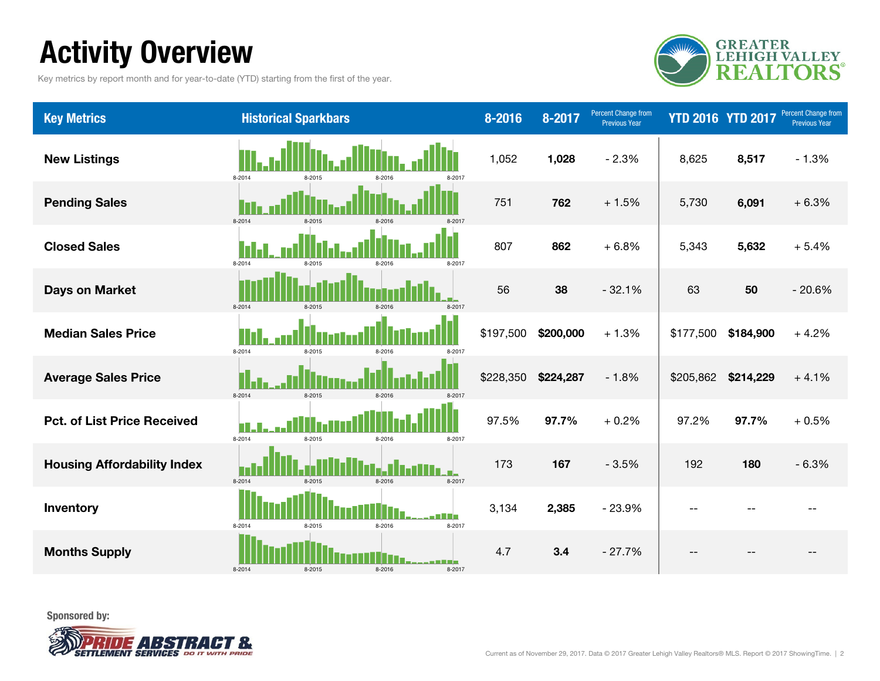### Activity Overview

Key metrics by report month and for year-to-date (YTD) starting from the first of the year.



| <b>Key Metrics</b>                 | <b>Historical Sparkbars</b>           | 8-2016    | 8-2017    | <b>Percent Change from</b><br><b>Previous Year</b> | <b>YTD 2016 YTD 2017</b> |           | <b>Percent Change from</b><br><b>Previous Year</b> |
|------------------------------------|---------------------------------------|-----------|-----------|----------------------------------------------------|--------------------------|-----------|----------------------------------------------------|
| <b>New Listings</b>                | 8-2014<br>8-2015<br>8-2017<br>8-2016  | 1,052     | 1,028     | $-2.3%$                                            | 8,625                    | 8,517     | $-1.3%$                                            |
| <b>Pending Sales</b>               | 8-2014<br>8-2015<br>8-2016<br>$8-201$ | 751       | 762       | $+1.5%$                                            | 5,730                    | 6,091     | $+6.3%$                                            |
| <b>Closed Sales</b>                | 8-2014<br>8-2017<br>8-2015<br>8-2016  | 807       | 862       | $+6.8%$                                            | 5,343                    | 5,632     | $+5.4%$                                            |
| <b>Days on Market</b>              | 8-2014<br>8-2015<br>8-2016<br>8-2017  | 56        | 38        | $-32.1%$                                           | 63                       | 50        | $-20.6%$                                           |
| <b>Median Sales Price</b>          | 8-2014<br>8-2015<br>2.2016<br>8-2017  | \$197,500 | \$200,000 | $+1.3%$                                            | \$177,500                | \$184,900 | $+4.2%$                                            |
| <b>Average Sales Price</b>         | 8-2014<br>8-2015<br>8-2016<br>8-2017  | \$228,350 | \$224,287 | $-1.8%$                                            | \$205,862                | \$214,229 | $+4.1%$                                            |
| <b>Pct. of List Price Received</b> | 8-2014<br>8-2015<br>8-2016<br>8-2017  | 97.5%     | 97.7%     | $+0.2%$                                            | 97.2%                    | 97.7%     | $+0.5%$                                            |
| <b>Housing Affordability Index</b> | 8-2014<br>8-2017<br>8-2015<br>8-2016  | 173       | 167       | $-3.5%$                                            | 192                      | 180       | $-6.3%$                                            |
| Inventory                          | 8-2014<br>8-2015<br>8-2016<br>8-2017  | 3,134     | 2,385     | $-23.9%$                                           | $ -$                     |           |                                                    |
| <b>Months Supply</b>               | 8-2014<br>8-2015<br>8-2016<br>8-2017  | 4.7       | 3.4       | $-27.7%$                                           | --                       |           |                                                    |

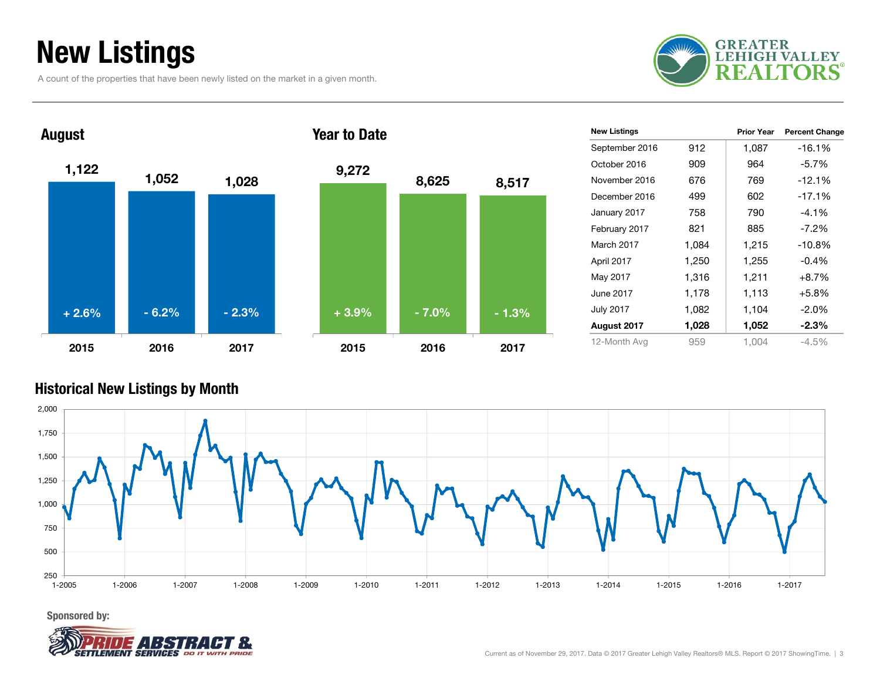### New Listings

A count of the properties that have been newly listed on the market in a given month.





| <b>New Listings</b> |       | <b>Prior Year</b> | <b>Percent Change</b> |
|---------------------|-------|-------------------|-----------------------|
| September 2016      | 912   | 1,087             | $-16.1%$              |
| October 2016        | 909   | 964               | $-5.7\%$              |
| November 2016       | 676   | 769               | $-12.1%$              |
| December 2016       | 499   | 602               | $-17.1%$              |
| January 2017        | 758   | 790               | $-4.1\%$              |
| February 2017       | 821   | 885               | $-7.2\%$              |
| March 2017          | 1,084 | 1,215             | $-10.8%$              |
| April 2017          | 1,250 | 1,255             | $-0.4%$               |
| May 2017            | 1,316 | 1,211             | $+8.7\%$              |
| June 2017           | 1,178 | 1,113             | $+5.8%$               |
| <b>July 2017</b>    | 1,082 | 1,104             | $-2.0\%$              |
| August 2017         | 1,028 | 1,052             | $-2.3%$               |
| 12-Month Avg        | 959   | 1,004             | $-4.5%$               |

#### Historical New Listings by Month



Sponsored by:

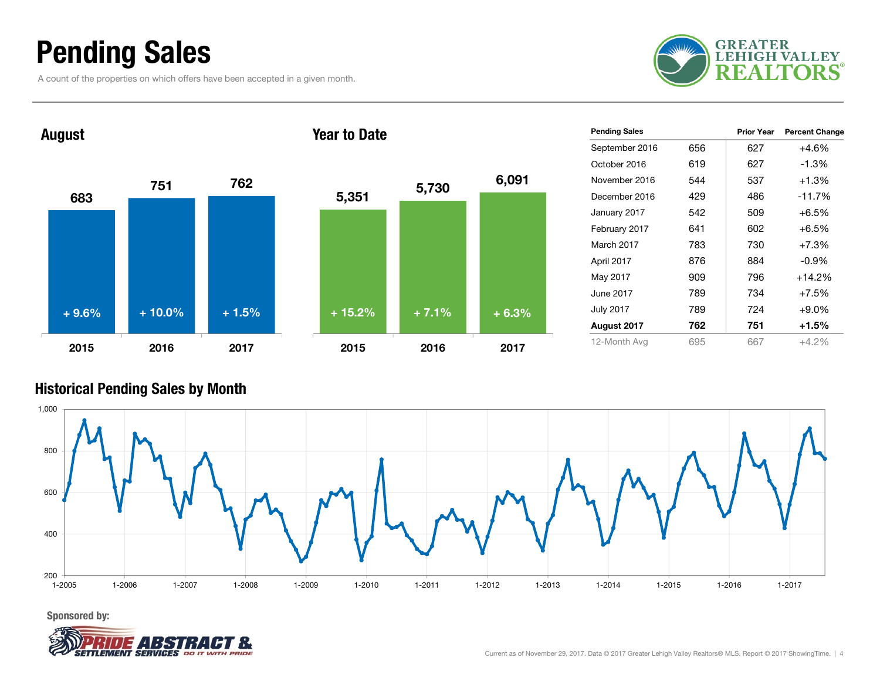### Pending Sales

A count of the properties on which offers have been accepted in a given month.







| <b>Pending Sales</b> |     | <b>Prior Year</b> | <b>Percent Change</b> |
|----------------------|-----|-------------------|-----------------------|
| September 2016       | 656 | 627               | +4.6%                 |
| October 2016         | 619 | 627               | $-1.3%$               |
| November 2016        | 544 | 537               | $+1.3%$               |
| December 2016        | 429 | 486               | $-11.7%$              |
| January 2017         | 542 | 509               | $+6.5%$               |
| February 2017        | 641 | 602               | $+6.5%$               |
| March 2017           | 783 | 730               | $+7.3%$               |
| April 2017           | 876 | 884               | $-0.9%$               |
| May 2017             | 909 | 796               | $+14.2%$              |
| June 2017            | 789 | 734               | $+7.5%$               |
| <b>July 2017</b>     | 789 | 724               | $+9.0\%$              |
| August 2017          | 762 | 751               | +1.5%                 |
| 12-Month Avg         | 695 | 667               | +4.2%                 |

#### Historical Pending Sales by Month



Sponsored by:

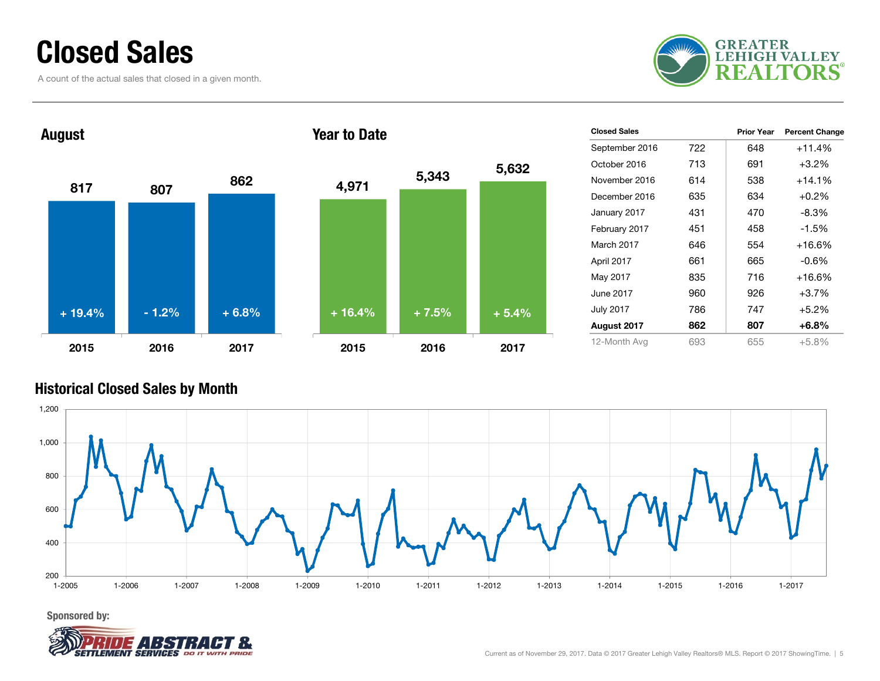### Closed Sales

A count of the actual sales that closed in a given month.





| <b>Closed Sales</b> |     | <b>Prior Year</b> | <b>Percent Change</b> |
|---------------------|-----|-------------------|-----------------------|
| September 2016      | 722 | 648               | $+11.4%$              |
| October 2016        | 713 | 691               | $+3.2\%$              |
| November 2016       | 614 | 538               | $+14.1\%$             |
| December 2016       | 635 | 634               | $+0.2%$               |
| January 2017        | 431 | 470               | $-8.3%$               |
| February 2017       | 451 | 458               | $-1.5\%$              |
| March 2017          | 646 | 554               | $+16.6%$              |
| April 2017          | 661 | 665               | $-0.6%$               |
| May 2017            | 835 | 716               | +16.6%                |
| June 2017           | 960 | 926               | $+3.7%$               |
| <b>July 2017</b>    | 786 | 747               | $+5.2%$               |
| August 2017         | 862 | 807               | +6.8%                 |
| 12-Month Avg        | 693 | 655               | $+5.8%$               |

#### Historical Closed Sales by Month



Sponsored by:

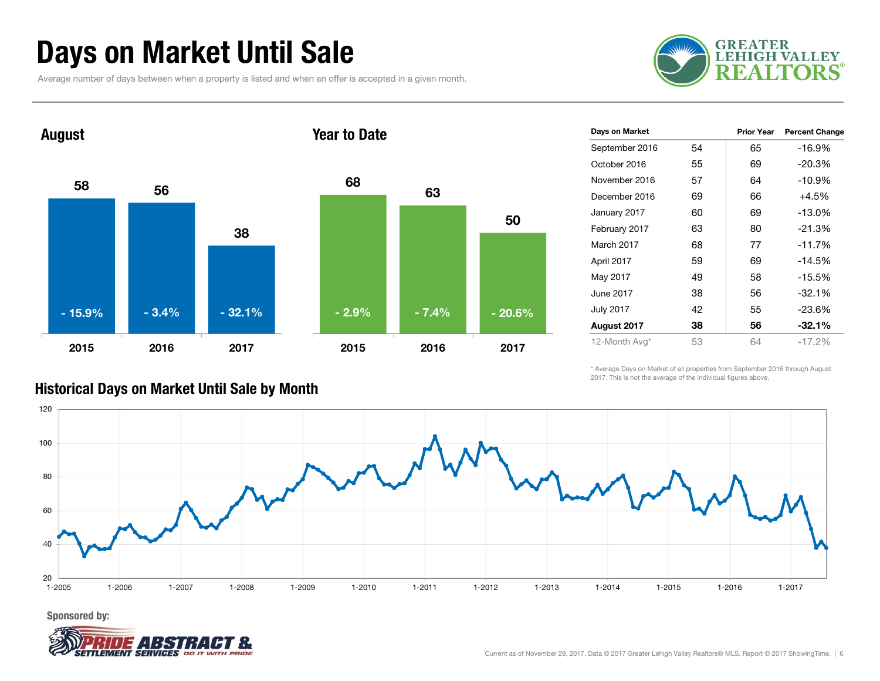### Days on Market Until Sale

Average number of days between when a property is listed and when an offer is accepted in a given month.





| Days on Market   |    | <b>Prior Year</b> | <b>Percent Change</b> |
|------------------|----|-------------------|-----------------------|
| September 2016   | 54 | 65                | $-16.9%$              |
| October 2016     | 55 | 69                | $-20.3%$              |
| November 2016    | 57 | 64                | $-10.9%$              |
| December 2016    | 69 | 66                | $+4.5%$               |
| January 2017     | 60 | 69                | $-13.0%$              |
| February 2017    | 63 | 80                | $-21.3%$              |
| March 2017       | 68 | 77                | $-11.7%$              |
| April 2017       | 59 | 69                | $-14.5%$              |
| May 2017         | 49 | 58                | $-15.5%$              |
| June 2017        | 38 | 56                | $-32.1%$              |
| <b>July 2017</b> | 42 | 55                | $-23.6%$              |
| August 2017      | 38 | 56                | $-32.1%$              |
| 12-Month Avg*    | 53 | 64                | $-17.2%$              |

\* Average Days on Market of all properties from September 2016 through August 2017. This is not the average of the individual figures above.



#### Historical Days on Market Until Sale by Month

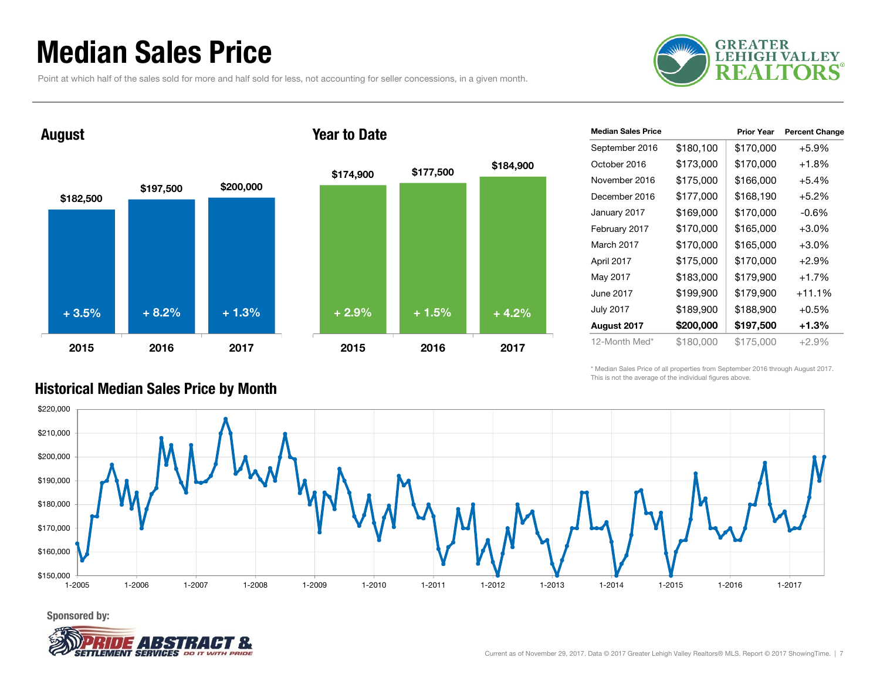### Median Sales Price

Point at which half of the sales sold for more and half sold for less, not accounting for seller concessions, in a given month.





#### Year to Date



\* Median Sales Price of all properties from September 2016 through August 2017. This is not the average of the individual figures above.



#### Historical Median Sales Price by Month

Sponsored by:

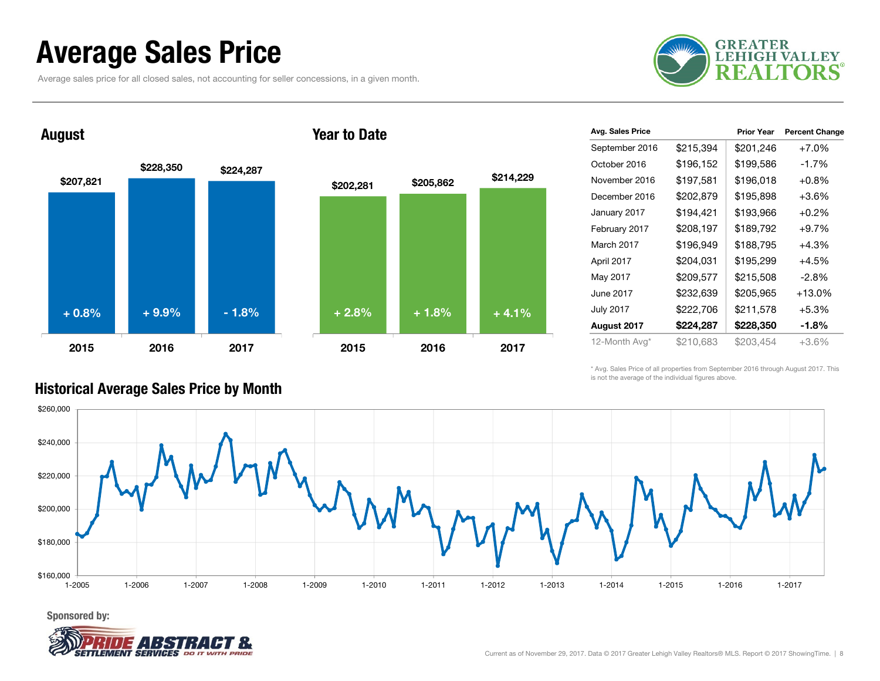### Average Sales Price

August

Average sales price for all closed sales, not accounting for seller concessions, in a given month.





#### Year to Date



| Avg. Sales Price |           | <b>Prior Year</b> | <b>Percent Change</b> |
|------------------|-----------|-------------------|-----------------------|
| September 2016   | \$215,394 | \$201,246         | $+7.0%$               |
| October 2016     | \$196,152 | \$199,586         | $-1.7%$               |
| November 2016    | \$197,581 | \$196,018         | $+0.8%$               |
| December 2016    | \$202,879 | \$195,898         | $+3.6%$               |
| January 2017     | \$194,421 | \$193,966         | $+0.2\%$              |
| February 2017    | \$208,197 | \$189,792         | $+9.7%$               |
| March 2017       | \$196,949 | \$188,795         | $+4.3%$               |
| April 2017       | \$204,031 | \$195,299         | $+4.5%$               |
| May 2017         | \$209,577 | \$215,508         | $-2.8\%$              |
| June 2017        | \$232,639 | \$205,965         | +13.0%                |
| <b>July 2017</b> | \$222,706 | \$211,578         | $+5.3%$               |
| August 2017      | \$224,287 | \$228,350         | $-1.8%$               |
| 12-Month Avg*    | \$210,683 | \$203,454         | $+3.6%$               |

\* Avg. Sales Price of all properties from September 2016 through August 2017. This is not the average of the individual figures above.



#### Historical Average Sales Price by Month

Sponsored by:

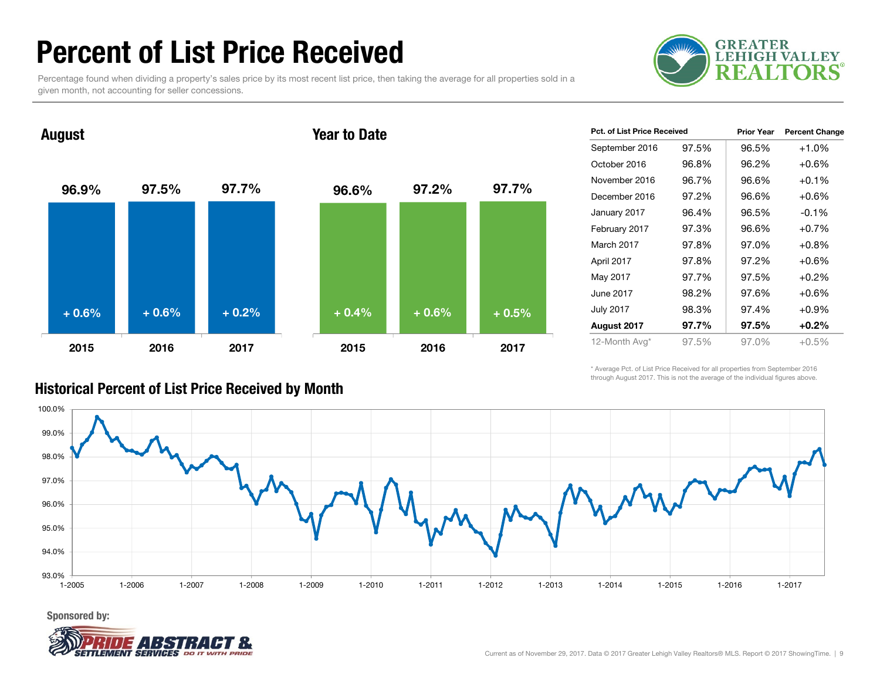### Percent of List Price Received

Percentage found when dividing a property's sales price by its most recent list price, then taking the average for all properties sold in a given month, not accounting for seller concessions.



96.9% 97.5% 97.7% 2015 2016 2017August 96.6% 97.2% 97.7% 2015 2016 2017Year to Date+ 0.6% $\%$  + 0.6% + 0.2% + 0.4% + 0.6% + 0.5%

| <b>Pct. of List Price Received</b> |       | <b>Prior Year</b> | <b>Percent Change</b> |
|------------------------------------|-------|-------------------|-----------------------|
| September 2016                     | 97.5% | 96.5%             | $+1.0%$               |
| October 2016                       | 96.8% | 96.2%             | $+0.6%$               |
| November 2016                      | 96.7% | 96.6%             | $+0.1\%$              |
| December 2016                      | 97.2% | 96.6%             | $+0.6\%$              |
| January 2017                       | 96.4% | 96.5%             | $-0.1%$               |
| February 2017                      | 97.3% | 96.6%             | $+0.7%$               |
| March 2017                         | 97.8% | 97.0%             | $+0.8%$               |
| April 2017                         | 97.8% | 97.2%             | $+0.6%$               |
| May 2017                           | 97.7% | 97.5%             | $+0.2%$               |
| June 2017                          | 98.2% | 97.6%             | $+0.6%$               |
| <b>July 2017</b>                   | 98.3% | 97.4%             | $+0.9%$               |
| August 2017                        | 97.7% | 97.5%             | $+0.2\%$              |
| 12-Month Avg*                      | 97.5% | 97.0%             | $+0.5%$               |

\* Average Pct. of List Price Received for all properties from September 2016 through August 2017. This is not the average of the individual figures above.



Historical Percent of List Price Received by Month

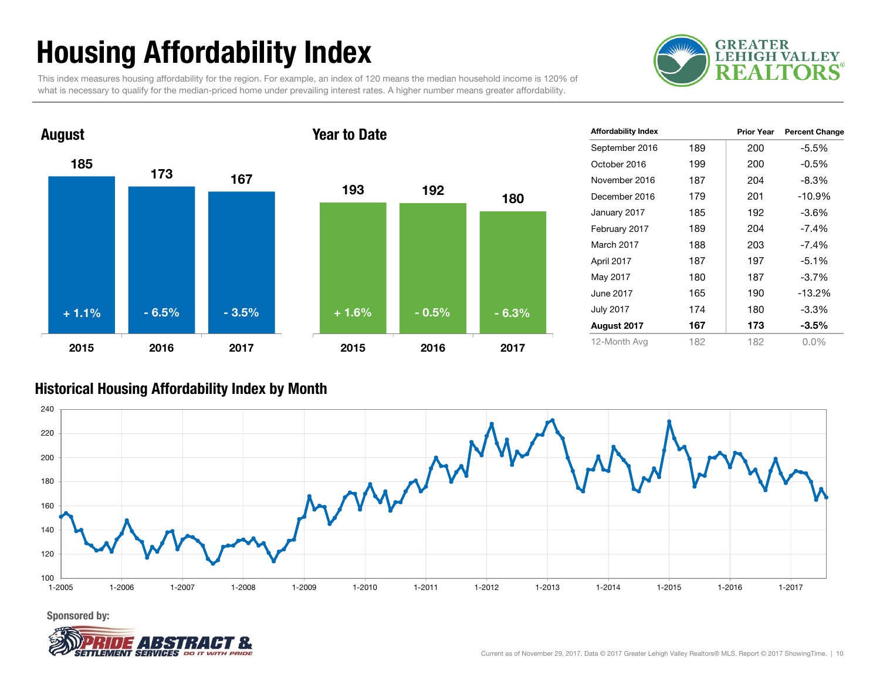## Housing Affordability Index

This index measures housing affordability for the region. For example, an index of 120 means the median household income is 120% of what is necessary to qualify for the median-priced home under prevailing interest rates. A higher number means greater affordability.





| <b>Affordability Index</b> |     | <b>Prior Year</b> | <b>Percent Change</b> |
|----------------------------|-----|-------------------|-----------------------|
| September 2016             | 189 | 200               | $-5.5%$               |
| October 2016               | 199 | 200               | $-0.5%$               |
| November 2016              | 187 | 204               | $-8.3%$               |
| December 2016              | 179 | 201               | $-10.9%$              |
| January 2017               | 185 | 192               | $-3.6%$               |
| February 2017              | 189 | 204               | $-7.4%$               |
| March 2017                 | 188 | 203               | $-7.4%$               |
| April 2017                 | 187 | 197               | $-5.1%$               |
| May 2017                   | 180 | 187               | $-3.7%$               |
| June 2017                  | 165 | 190               | -13.2%                |
| <b>July 2017</b>           | 174 | 180               | $-3.3%$               |
| August 2017                | 167 | 173               | $-3.5%$               |
| 12-Month Avg               | 182 | 182               | $0.0\%$               |

#### Historical Housing Affordability Index by Mont h



Sponsored by:

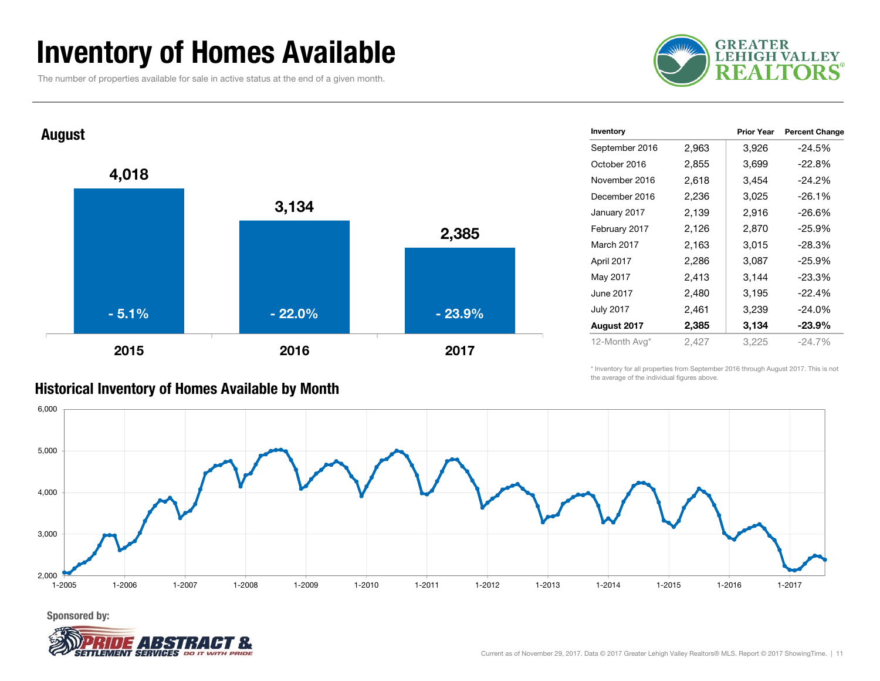### Inventory of Homes Available

The number of properties available for sale in active status at the end of a given month.





| Inventory        |       | <b>Prior Year</b> | <b>Percent Change</b> |
|------------------|-------|-------------------|-----------------------|
| September 2016   | 2,963 | 3,926             | $-24.5%$              |
| October 2016     | 2,855 | 3,699             | $-22.8%$              |
| November 2016    | 2,618 | 3,454             | $-24.2%$              |
| December 2016    | 2,236 | 3,025             | $-26.1%$              |
| January 2017     | 2,139 | 2,916             | $-26.6%$              |
| February 2017    | 2,126 | 2,870             | $-25.9%$              |
| March 2017       | 2,163 | 3,015             | $-28.3%$              |
| April 2017       | 2,286 | 3,087             | $-25.9%$              |
| May 2017         | 2,413 | 3,144             | $-23.3%$              |
| June 2017        | 2,480 | 3,195             | $-22.4%$              |
| <b>July 2017</b> | 2,461 | 3,239             | $-24.0%$              |
| August 2017      | 2,385 | 3,134             | $-23.9%$              |
| 12-Month Avg*    | 2,427 | 3,225             | $-24.7%$              |

\* Inventory for all properties from September 2016 through August 2017. This is not the average of the individual figures above.



### Historical Inventory of Homes Available by Month

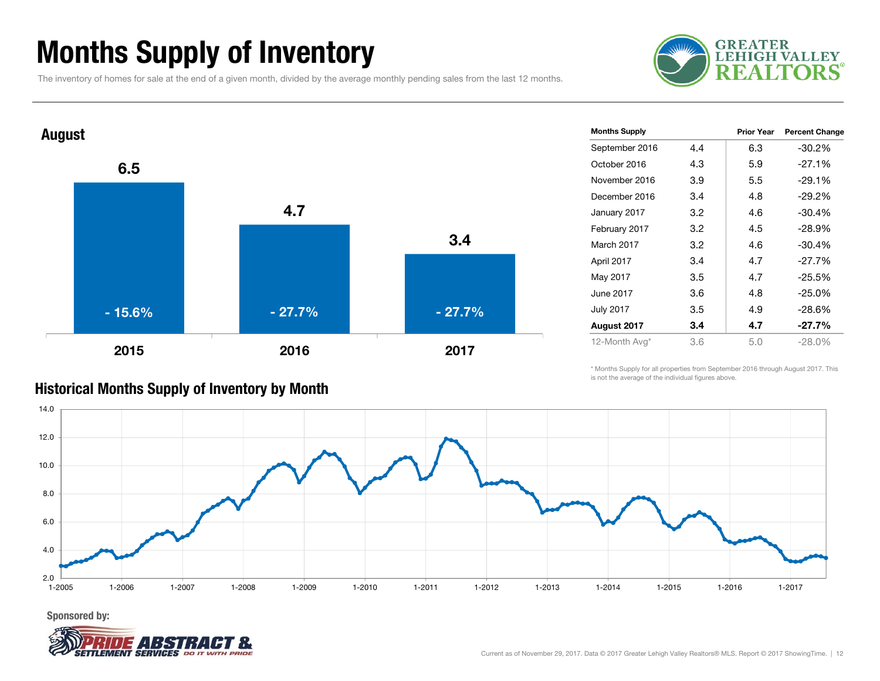### Months Supply of Inventory

The inventory of homes for sale at the end of a given month, divided by the average monthly pending sales from the last 12 months.





| <b>Months Supply</b> |     | <b>Prior Year</b> | <b>Percent Change</b> |
|----------------------|-----|-------------------|-----------------------|
| September 2016       | 4.4 | 6.3               | $-30.2%$              |
| October 2016         | 4.3 | 5.9               | $-27.1%$              |
| November 2016        | 3.9 | 5.5               | $-29.1%$              |
| December 2016        | 3.4 | 4.8               | $-29.2%$              |
| January 2017         | 3.2 | 4.6               | -30.4%                |
| February 2017        | 3.2 | 4.5               | $-28.9%$              |
| March 2017           | 3.2 | 4.6               | $-30.4%$              |
| April 2017           | 3.4 | 4.7               | $-27.7%$              |
| May 2017             | 3.5 | 4.7               | $-25.5%$              |
| June 2017            | 3.6 | 4.8               | $-25.0%$              |
| July 2017            | 3.5 | 4.9               | $-28.6%$              |
| August 2017          | 3.4 | 4.7               | $-27.7%$              |
| 12-Month Avg*        | 3.6 | 5.0               | $-28.0%$              |
|                      |     |                   |                       |

\* Months Supply for all properties from September 2016 through August 2017. This is not the average of the individual figures above.



#### Sponsored by:



#### Historical Months Supply of Inventory by Month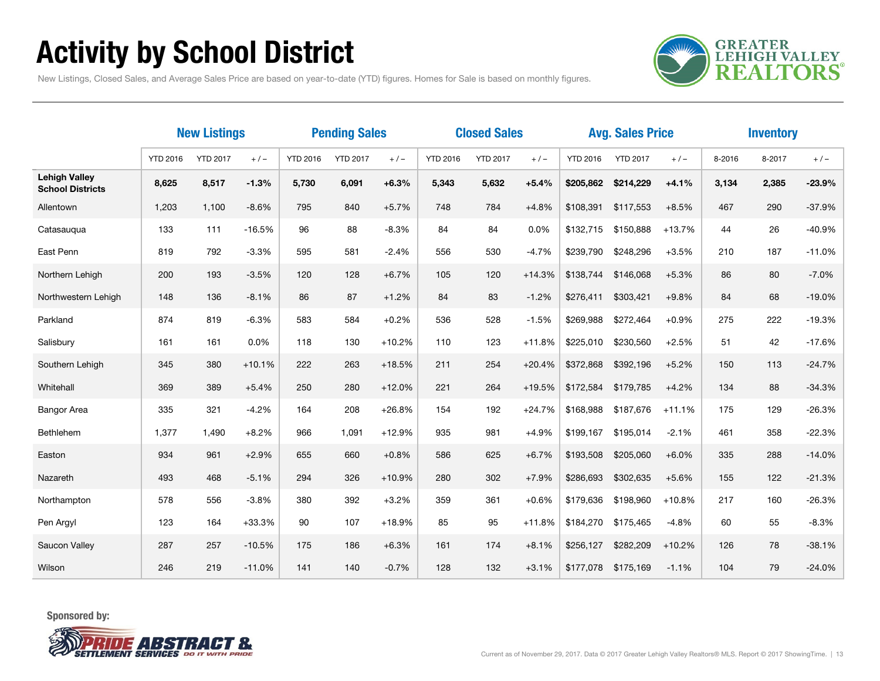### Activity by School District

**GREATER<br>LEHIGH VALLEY REALTORS** 

New Listings, Closed Sales, and Average Sales Price are based on year-to-date (YTD) figures. Homes for Sale is based on monthly figures.

|                                                 | <b>New Listings</b> |                 | <b>Pending Sales</b> |                 |                 | <b>Closed Sales</b> |                 |                 |          | <b>Avg. Sales Price</b> |                 | <b>Inventory</b> |        |        |          |
|-------------------------------------------------|---------------------|-----------------|----------------------|-----------------|-----------------|---------------------|-----------------|-----------------|----------|-------------------------|-----------------|------------------|--------|--------|----------|
|                                                 | <b>YTD 2016</b>     | <b>YTD 2017</b> | $+/-$                | <b>YTD 2016</b> | <b>YTD 2017</b> | $+/-$               | <b>YTD 2016</b> | <b>YTD 2017</b> | $+/-$    | <b>YTD 2016</b>         | <b>YTD 2017</b> | $+/-$            | 8-2016 | 8-2017 | $+/-$    |
| <b>Lehigh Valley</b><br><b>School Districts</b> | 8,625               | 8,517           | $-1.3%$              | 5,730           | 6,091           | $+6.3%$             | 5,343           | 5,632           | $+5.4%$  | \$205,862               | \$214,229       | $+4.1%$          | 3,134  | 2,385  | $-23.9%$ |
| Allentown                                       | 1,203               | 1,100           | $-8.6%$              | 795             | 840             | $+5.7%$             | 748             | 784             | $+4.8%$  | \$108,391               | \$117,553       | $+8.5%$          | 467    | 290    | $-37.9%$ |
| Catasaugua                                      | 133                 | 111             | $-16.5%$             | 96              | 88              | $-8.3%$             | 84              | 84              | 0.0%     | \$132,715               | \$150,888       | $+13.7%$         | 44     | 26     | $-40.9%$ |
| East Penn                                       | 819                 | 792             | $-3.3%$              | 595             | 581             | $-2.4%$             | 556             | 530             | $-4.7%$  | \$239,790               | \$248,296       | $+3.5%$          | 210    | 187    | $-11.0%$ |
| Northern Lehigh                                 | 200                 | 193             | $-3.5%$              | 120             | 128             | $+6.7%$             | 105             | 120             | $+14.3%$ | \$138,744               | \$146,068       | $+5.3%$          | 86     | 80     | $-7.0%$  |
| Northwestern Lehigh                             | 148                 | 136             | $-8.1%$              | 86              | 87              | $+1.2%$             | 84              | 83              | $-1.2%$  | \$276,411               | \$303,421       | $+9.8%$          | 84     | 68     | $-19.0%$ |
| Parkland                                        | 874                 | 819             | $-6.3%$              | 583             | 584             | $+0.2%$             | 536             | 528             | $-1.5%$  | \$269.988               | \$272,464       | $+0.9%$          | 275    | 222    | $-19.3%$ |
| Salisbury                                       | 161                 | 161             | 0.0%                 | 118             | 130             | $+10.2%$            | 110             | 123             | $+11.8%$ | \$225,010               | \$230,560       | $+2.5%$          | 51     | 42     | $-17.6%$ |
| Southern Lehigh                                 | 345                 | 380             | $+10.1%$             | 222             | 263             | $+18.5%$            | 211             | 254             | $+20.4%$ | \$372,868               | \$392,196       | $+5.2%$          | 150    | 113    | $-24.7%$ |
| Whitehall                                       | 369                 | 389             | $+5.4%$              | 250             | 280             | $+12.0%$            | 221             | 264             | $+19.5%$ | \$172,584               | \$179,785       | $+4.2%$          | 134    | 88     | $-34.3%$ |
| <b>Bangor Area</b>                              | 335                 | 321             | $-4.2%$              | 164             | 208             | $+26.8%$            | 154             | 192             | $+24.7%$ | \$168,988               | \$187,676       | $+11.1%$         | 175    | 129    | $-26.3%$ |
| Bethlehem                                       | 1,377               | 1,490           | $+8.2%$              | 966             | 1,091           | $+12.9%$            | 935             | 981             | $+4.9%$  | \$199,167               | \$195,014       | $-2.1%$          | 461    | 358    | $-22.3%$ |
| Easton                                          | 934                 | 961             | $+2.9%$              | 655             | 660             | $+0.8%$             | 586             | 625             | $+6.7%$  | \$193,508               | \$205,060       | $+6.0%$          | 335    | 288    | $-14.0%$ |
| Nazareth                                        | 493                 | 468             | $-5.1%$              | 294             | 326             | $+10.9%$            | 280             | 302             | $+7.9%$  | \$286,693               | \$302,635       | $+5.6%$          | 155    | 122    | $-21.3%$ |
| Northampton                                     | 578                 | 556             | $-3.8%$              | 380             | 392             | $+3.2%$             | 359             | 361             | $+0.6%$  | \$179.636               | \$198.960       | $+10.8%$         | 217    | 160    | $-26.3%$ |
| Pen Argyl                                       | 123                 | 164             | $+33.3%$             | 90              | 107             | $+18.9%$            | 85              | 95              | $+11.8%$ | \$184,270               | \$175,465       | $-4.8%$          | 60     | 55     | $-8.3%$  |
| Saucon Valley                                   | 287                 | 257             | $-10.5%$             | 175             | 186             | $+6.3%$             | 161             | 174             | $+8.1%$  | \$256,127               | \$282,209       | $+10.2%$         | 126    | 78     | $-38.1%$ |
| Wilson                                          | 246                 | 219             | $-11.0%$             | 141             | 140             | $-0.7%$             | 128             | 132             | $+3.1%$  | \$177,078               | \$175,169       | $-1.1%$          | 104    | 79     | $-24.0%$ |

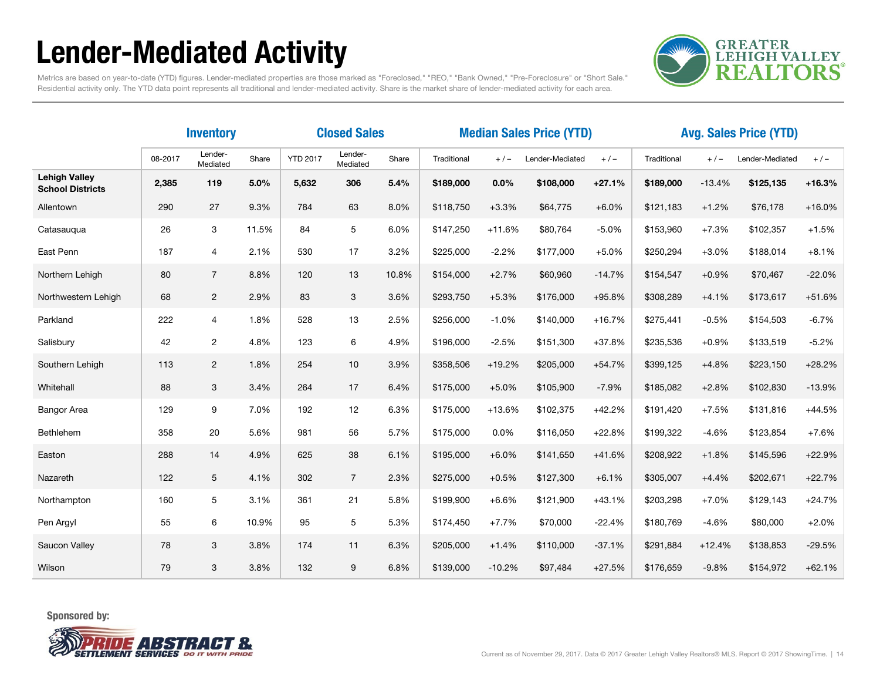### Lender-Mediated Activity



Metrics are based on year-to-date (YTD) figures. Lender-mediated properties are those marked as "Foreclosed," "REO," "Bank Owned," "Pre-Foreclosure" or "Short Sale." Residential activity only. The YTD data point represents all traditional and lender-mediated activity. Share is the market share of lender-mediated activity for each area.

|                                                 | <b>Closed Sales</b><br><b>Inventory</b> |                     |       |                 |                     | <b>Median Sales Price (YTD)</b> |             |          |                 | <b>Avg. Sales Price (YTD)</b> |             |          |                 |          |
|-------------------------------------------------|-----------------------------------------|---------------------|-------|-----------------|---------------------|---------------------------------|-------------|----------|-----------------|-------------------------------|-------------|----------|-----------------|----------|
|                                                 | 08-2017                                 | Lender-<br>Mediated | Share | <b>YTD 2017</b> | Lender-<br>Mediated | Share                           | Traditional | $+/-$    | Lender-Mediated | $+/-$                         | Traditional | $+/-$    | Lender-Mediated | $+/-$    |
| <b>Lehigh Valley</b><br><b>School Districts</b> | 2,385                                   | 119                 | 5.0%  | 5,632           | 306                 | 5.4%                            | \$189,000   | 0.0%     | \$108,000       | $+27.1%$                      | \$189,000   | $-13.4%$ | \$125,135       | $+16.3%$ |
| Allentown                                       | 290                                     | 27                  | 9.3%  | 784             | 63                  | 8.0%                            | \$118,750   | $+3.3%$  | \$64,775        | $+6.0%$                       | \$121,183   | $+1.2%$  | \$76,178        | $+16.0%$ |
| Catasauqua                                      | 26                                      | 3                   | 11.5% | 84              | 5                   | 6.0%                            | \$147,250   | $+11.6%$ | \$80,764        | $-5.0%$                       | \$153,960   | $+7.3%$  | \$102,357       | $+1.5%$  |
| East Penn                                       | 187                                     | $\overline{4}$      | 2.1%  | 530             | 17                  | 3.2%                            | \$225,000   | $-2.2%$  | \$177,000       | $+5.0%$                       | \$250,294   | $+3.0%$  | \$188,014       | $+8.1%$  |
| Northern Lehigh                                 | 80                                      | $\overline{7}$      | 8.8%  | 120             | 13                  | 10.8%                           | \$154,000   | $+2.7%$  | \$60,960        | $-14.7%$                      | \$154,547   | $+0.9%$  | \$70,467        | $-22.0%$ |
| Northwestern Lehigh                             | 68                                      | $\overline{2}$      | 2.9%  | 83              | 3                   | 3.6%                            | \$293,750   | $+5.3%$  | \$176,000       | $+95.8%$                      | \$308,289   | $+4.1%$  | \$173,617       | $+51.6%$ |
| Parkland                                        | 222                                     | $\overline{4}$      | 1.8%  | 528             | 13                  | 2.5%                            | \$256,000   | $-1.0%$  | \$140,000       | $+16.7%$                      | \$275,441   | $-0.5%$  | \$154,503       | $-6.7%$  |
| Salisbury                                       | 42                                      | $\overline{2}$      | 4.8%  | 123             | 6                   | 4.9%                            | \$196,000   | $-2.5%$  | \$151,300       | $+37.8%$                      | \$235,536   | $+0.9%$  | \$133,519       | $-5.2%$  |
| Southern Lehigh                                 | 113                                     | $\overline{2}$      | 1.8%  | 254             | 10                  | 3.9%                            | \$358,506   | $+19.2%$ | \$205,000       | $+54.7%$                      | \$399,125   | $+4.8%$  | \$223,150       | $+28.2%$ |
| Whitehall                                       | 88                                      | 3                   | 3.4%  | 264             | 17                  | 6.4%                            | \$175,000   | $+5.0%$  | \$105,900       | $-7.9%$                       | \$185,082   | $+2.8%$  | \$102,830       | $-13.9%$ |
| <b>Bangor Area</b>                              | 129                                     | 9                   | 7.0%  | 192             | 12                  | 6.3%                            | \$175,000   | $+13.6%$ | \$102,375       | $+42.2%$                      | \$191,420   | $+7.5%$  | \$131,816       | $+44.5%$ |
| Bethlehem                                       | 358                                     | 20                  | 5.6%  | 981             | 56                  | 5.7%                            | \$175,000   | 0.0%     | \$116,050       | $+22.8%$                      | \$199,322   | $-4.6%$  | \$123,854       | $+7.6%$  |
| Easton                                          | 288                                     | 14                  | 4.9%  | 625             | 38                  | 6.1%                            | \$195,000   | $+6.0%$  | \$141,650       | $+41.6%$                      | \$208,922   | $+1.8%$  | \$145,596       | $+22.9%$ |
| Nazareth                                        | 122                                     | 5                   | 4.1%  | 302             | $\overline{7}$      | 2.3%                            | \$275,000   | $+0.5%$  | \$127,300       | $+6.1%$                       | \$305,007   | $+4.4%$  | \$202,671       | $+22.7%$ |
| Northampton                                     | 160                                     | 5                   | 3.1%  | 361             | 21                  | 5.8%                            | \$199,900   | $+6.6%$  | \$121,900       | $+43.1%$                      | \$203,298   | $+7.0%$  | \$129,143       | $+24.7%$ |
| Pen Argyl                                       | 55                                      | 6                   | 10.9% | 95              | 5                   | 5.3%                            | \$174,450   | $+7.7%$  | \$70,000        | $-22.4%$                      | \$180,769   | $-4.6%$  | \$80,000        | $+2.0%$  |
| Saucon Valley                                   | 78                                      | 3                   | 3.8%  | 174             | 11                  | 6.3%                            | \$205,000   | $+1.4%$  | \$110,000       | $-37.1%$                      | \$291,884   | $+12.4%$ | \$138,853       | $-29.5%$ |
| Wilson                                          | 79                                      | 3                   | 3.8%  | 132             | 9                   | 6.8%                            | \$139,000   | $-10.2%$ | \$97,484        | $+27.5%$                      | \$176,659   | $-9.8%$  | \$154,972       | $+62.1%$ |